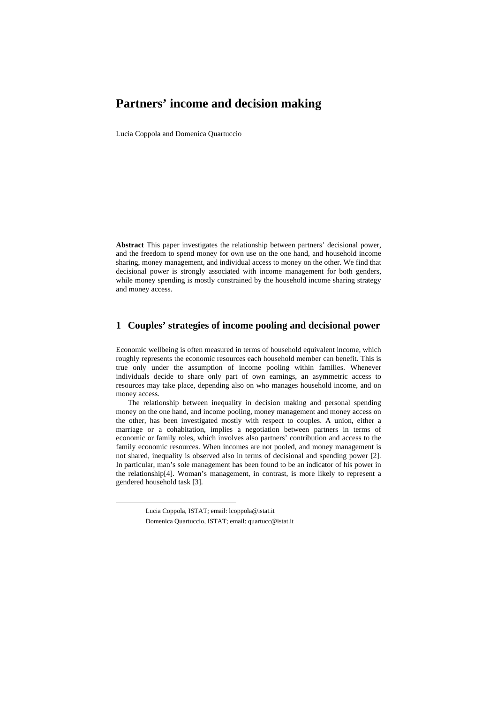# **Partners' income and decision making**

Lucia Coppola and Domenica Quartuccio

**Abstract** This paper investigates the relationship between partners' decisional power, and the freedom to spend money for own use on the one hand, and household income sharing, money management, and individual access to money on the other. We find that decisional power is strongly associated with income management for both genders, while money spending is mostly constrained by the household income sharing strategy and money access.

## **1 Couples' strategies of income pooling and decisional power**

Economic wellbeing is often measured in terms of household equivalent income, which roughly represents the economic resources each household member can benefit. This is true only under the assumption of income pooling within families. Whenever individuals decide to share only part of own earnings, an asymmetric access to resources may take place, depending also on who manages household income, and on money access.

The relationship between inequality in decision making and personal spending money on the one hand, and income pooling, money management and money access on the other, has been investigated mostly with respect to couples. A union, either a marriage or a cohabitation, implies a negotiation between partners in terms of economic or family roles, which involves also partners' contribution and access to the family economic resources. When incomes are not pooled, and money management is not shared, inequality is observed also in terms of decisional and spending power [2]. In particular, man's sole management has been found to be an indicator of his power in the relationship[4]. Woman's management, in contrast, is more likely to represent a gendered household task [3].

l

Lucia Coppola, ISTAT; email: lcoppola@istat.it Domenica Quartuccio, ISTAT; email: quartucc@istat.it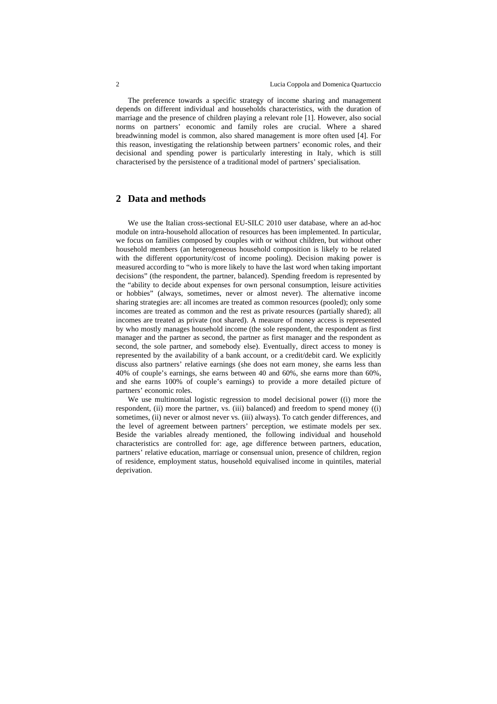The preference towards a specific strategy of income sharing and management depends on different individual and households characteristics, with the duration of marriage and the presence of children playing a relevant role [1]. However, also social norms on partners' economic and family roles are crucial. Where a shared breadwinning model is common, also shared management is more often used [4]. For this reason, investigating the relationship between partners' economic roles, and their decisional and spending power is particularly interesting in Italy, which is still characterised by the persistence of a traditional model of partners' specialisation.

## **2 Data and methods**

We use the Italian cross-sectional EU-SILC 2010 user database, where an ad-hoc module on intra-household allocation of resources has been implemented. In particular, we focus on families composed by couples with or without children, but without other household members (an heterogeneous household composition is likely to be related with the different opportunity/cost of income pooling). Decision making power is measured according to "who is more likely to have the last word when taking important decisions" (the respondent, the partner, balanced). Spending freedom is represented by the "ability to decide about expenses for own personal consumption, leisure activities or hobbies" (always, sometimes, never or almost never). The alternative income sharing strategies are: all incomes are treated as common resources (pooled); only some incomes are treated as common and the rest as private resources (partially shared); all incomes are treated as private (not shared). A measure of money access is represented by who mostly manages household income (the sole respondent, the respondent as first manager and the partner as second, the partner as first manager and the respondent as second, the sole partner, and somebody else). Eventually, direct access to money is represented by the availability of a bank account, or a credit/debit card. We explicitly discuss also partners' relative earnings (she does not earn money, she earns less than 40% of couple's earnings, she earns between 40 and 60%, she earns more than 60%, and she earns 100% of couple's earnings) to provide a more detailed picture of partners' economic roles.

We use multinomial logistic regression to model decisional power ((i) more the respondent, (ii) more the partner, vs. (iii) balanced) and freedom to spend money ((i) sometimes, (ii) never or almost never vs. (iii) always). To catch gender differences, and the level of agreement between partners' perception, we estimate models per sex. Beside the variables already mentioned, the following individual and household characteristics are controlled for: age, age difference between partners, education, partners' relative education, marriage or consensual union, presence of children, region of residence, employment status, household equivalised income in quintiles, material deprivation.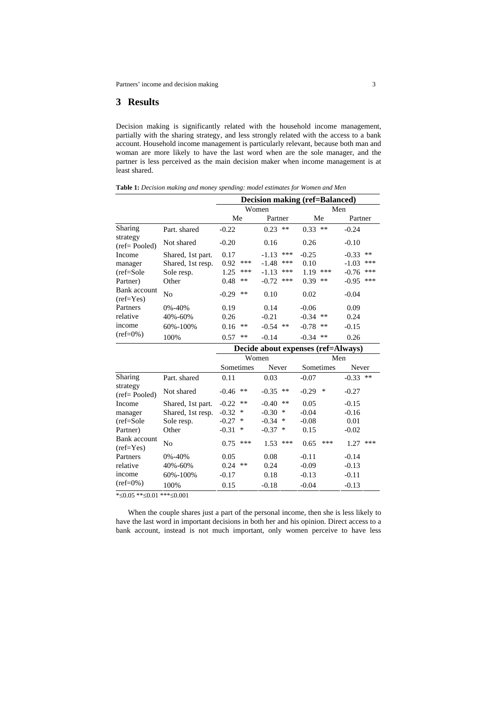# **3 Results**

Decision making is significantly related with the household income management, partially with the sharing strategy, and less strongly related with the access to a bank account. Household income management is particularly relevant, because both man and woman are more likely to have the last word when are the sole manager, and the partner is less perceived as the main decision maker when income management is at least shared.

**Table 1:** *Decision making and money spending: model estimates for Women and Men*

|                              |                   | <b>Decision making (ref=Balanced)</b> |                  |                                    |                 |
|------------------------------|-------------------|---------------------------------------|------------------|------------------------------------|-----------------|
|                              |                   | Women                                 |                  | Men                                |                 |
|                              |                   | Me                                    | Partner          | Me                                 | Partner         |
| Sharing                      | Part, shared      | $-0.22$                               | $**$<br>0.23     | $**$<br>0.33                       | $-0.24$         |
| strategy<br>$(ref = Pooled)$ | Not shared        | $-0.20$                               | 0.16             | 0.26                               | $-0.10$         |
| Income                       | Shared, 1st part. | 0.17                                  | ***<br>$-1.13$   | $-0.25$                            | **<br>$-0.33$   |
| manager                      | Shared, 1st resp. | ***<br>0.92                           | $-1.48$<br>***   | 0.10                               | ***<br>$-1.03$  |
| $(ref=Sole)$                 | Sole resp.        | 1.25<br>***                           | ***<br>$-1.13$   | 1.19<br>***                        | ***<br>$-0.76$  |
| Partner)                     | Other             | 0.48<br>**                            | $-0.72$<br>***   | 0.39<br>**                         | ***<br>$-0.95$  |
| Bank account<br>$(ref=Yes)$  | No                | **<br>$-0.29$                         | 0.10             | 0.02                               | $-0.04$         |
| Partners                     | $0\% - 40\%$      | 0.19                                  | 0.14             | $-0.06$                            | 0.09            |
| relative                     | 40%-60%           | 0.26                                  | $-0.21$          | $-0.34$<br>**                      | 0.24            |
| income                       | 60%-100%          | **<br>0.16                            | $***$<br>$-0.54$ | **<br>$-0.78$                      | $-0.15$         |
| $(ref=0\%)$                  | 100%              | **<br>0.57                            | $-0.14$          | $-0.34$<br>**                      | 0.26            |
|                              |                   |                                       |                  | Decide about expenses (ref=Always) |                 |
|                              |                   | Women                                 |                  | Men                                |                 |
|                              |                   | Sometimes                             | Never            | Sometimes                          | Never           |
| Sharing                      | Part, shared      | 0.11                                  | 0.03             | $-0.07$                            | $**$<br>$-0.33$ |
| strategy<br>$(ref = Pooled)$ | Not shared        | **<br>$-0.46$                         | $-0.35$<br>$**$  | $-0.29$<br>$\ast$                  | $-0.27$         |
| Income                       | Shared, 1st part. | $-0.22$<br>**                         | $***$<br>$-0.40$ | 0.05                               | $-0.15$         |
| manager                      | Shared, 1st resp. | $-0.32$<br>∗                          | $-0.30$<br>*     | $-0.04$                            | $-0.16$         |
| (ref=Sole                    | Sole resp.        | $-0.27$<br>∗                          | $-0.34$<br>∗     | $-0.08$                            | 0.01            |
| Partner)                     | Other             | ∗<br>$-0.31$                          | ∗<br>$-0.37$     | 0.15                               | $-0.02$         |
| Bank account<br>$(ref=Yes)$  | No                | ***<br>0.75                           | ***<br>1.53      | ***<br>0.65                        | ***<br>1.27     |
| Partners                     | 0%-40%            | 0.05                                  | 0.08             | $-0.11$                            | $-0.14$         |
| relative                     | 40%-60%           | **<br>0.24                            | 0.24             | $-0.09$                            | $-0.13$         |
| income                       | 60%-100%          | $-0.17$                               | 0.18             | $-0.13$                            | $-0.11$         |
| $(ref=0\%)$                  | 100%              | 0.15                                  | $-0.18$          | $-0.04$                            | $-0.13$         |

\*≤0.05 \*\*≤0.01 \*\*\*≤0.001

When the couple shares just a part of the personal income, then she is less likely to have the last word in important decisions in both her and his opinion. Direct access to a bank account, instead is not much important, only women perceive to have less